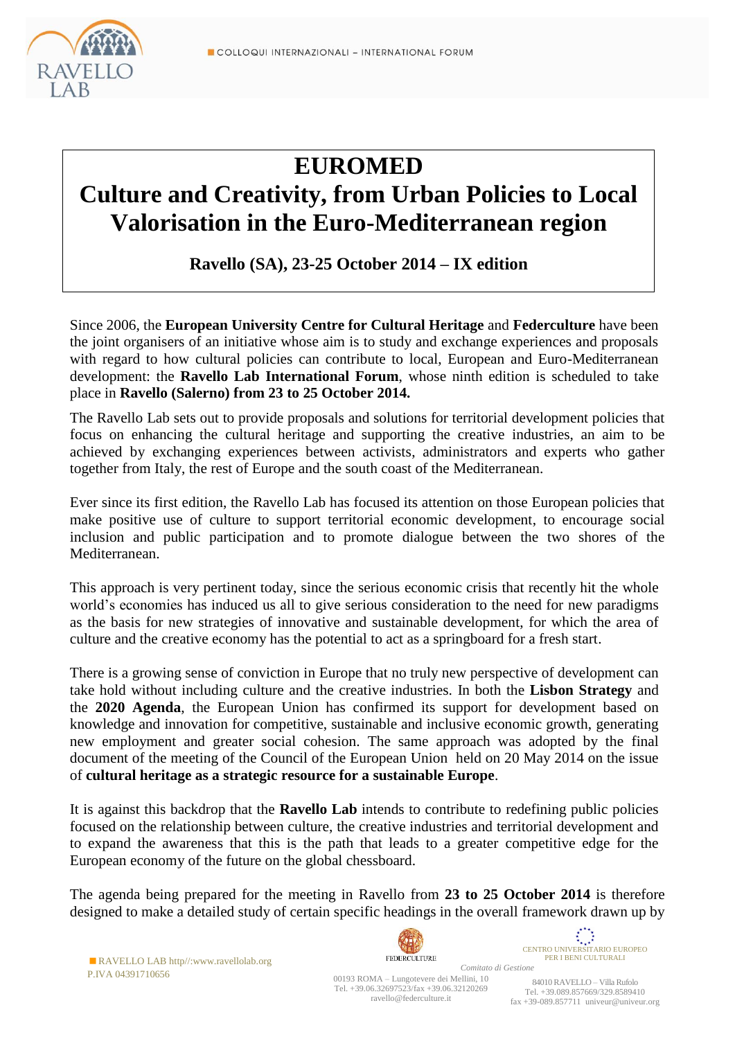

# **EUROMED**

# **Culture and Creativity, from Urban Policies to Local Valorisation in the Euro-Mediterranean region**

**Ravello (SA), 23-25 October 2014 – IX edition**

Since 2006, the **European University Centre for Cultural Heritage** and **Federculture** have been the joint organisers of an initiative whose aim is to study and exchange experiences and proposals with regard to how cultural policies can contribute to local, European and Euro-Mediterranean development: the **Ravello Lab International Forum**, whose ninth edition is scheduled to take place in **Ravello (Salerno) from 23 to 25 October 2014.**

The Ravello Lab sets out to provide proposals and solutions for territorial development policies that focus on enhancing the cultural heritage and supporting the creative industries, an aim to be achieved by exchanging experiences between activists, administrators and experts who gather together from Italy, the rest of Europe and the south coast of the Mediterranean.

Ever since its first edition, the Ravello Lab has focused its attention on those European policies that make positive use of culture to support territorial economic development, to encourage social inclusion and public participation and to promote dialogue between the two shores of the Mediterranean.

This approach is very pertinent today, since the serious economic crisis that recently hit the whole world's economies has induced us all to give serious consideration to the need for new paradigms as the basis for new strategies of innovative and sustainable development, for which the area of culture and the creative economy has the potential to act as a springboard for a fresh start.

There is a growing sense of conviction in Europe that no truly new perspective of development can take hold without including culture and the creative industries. In both the **Lisbon Strategy** and the **2020 Agenda**, the European Union has confirmed its support for development based on knowledge and innovation for competitive, sustainable and inclusive economic growth, generating new employment and greater social cohesion. The same approach was adopted by the final document of the meeting of the Council of the European Union held on 20 May 2014 on the issue of **cultural heritage as a strategic resource for a sustainable Europe**.

It is against this backdrop that the **Ravello Lab** intends to contribute to redefining public policies focused on the relationship between culture, the creative industries and territorial development and to expand the awareness that this is the path that leads to a greater competitive edge for the European economy of the future on the global chessboard.

The agenda being prepared for the meeting in Ravello from **23 to 25 October 2014** is therefore designed to make a detailed study of certain specific headings in the overall framework drawn up by

RAVELLO LAB http//:www.ravellolab.org P.IVA 04391710656



 $\overrightarrow{\mathbf{x}}_{\mathbf{x} \cdot \mathbf{x}^*}$ CENTRO UNIVERSITARIO EUROPEO PER I BENI CULTURALI

*Comitato di Gestione* 00193 ROMA – Lungotevere dei Mellini, 10 Tel. +39.06.32697523/fax +39.06.32120269 ravello@federculture.it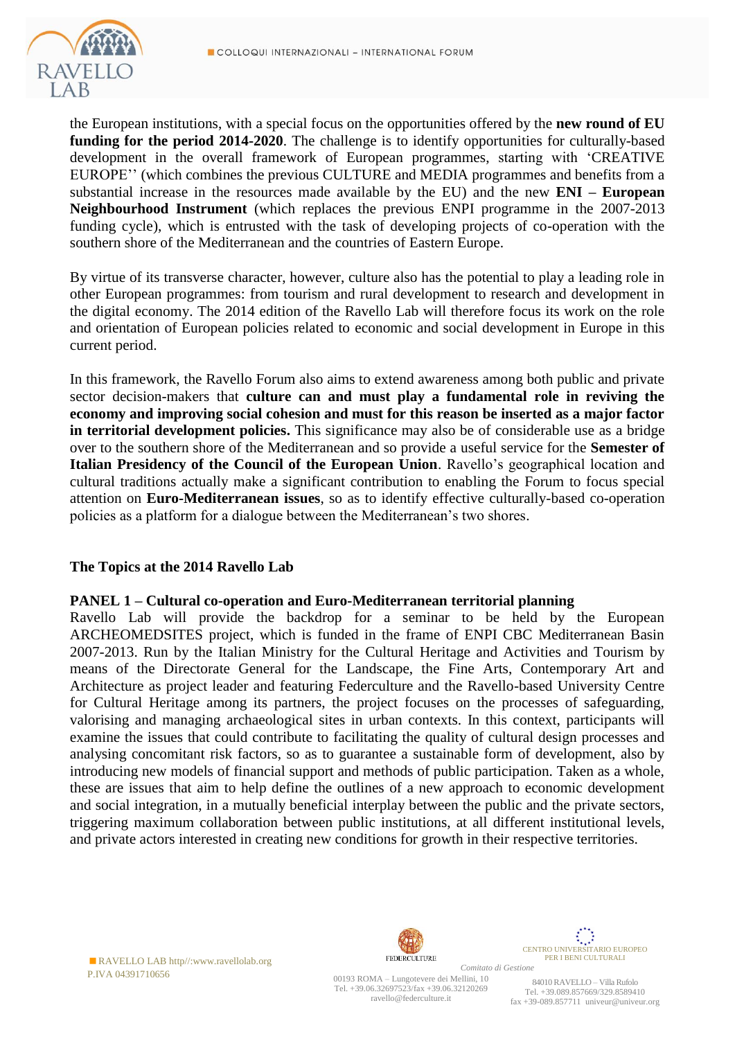

the European institutions, with a special focus on the opportunities offered by the **new round of EU funding for the period 2014-2020**. The challenge is to identify opportunities for culturally-based development in the overall framework of European programmes, starting with 'CREATIVE EUROPE'' (which combines the previous CULTURE and MEDIA programmes and benefits from a substantial increase in the resources made available by the EU) and the new **ENI – European Neighbourhood Instrument** (which replaces the previous ENPI programme in the 2007-2013 funding cycle), which is entrusted with the task of developing projects of co-operation with the southern shore of the Mediterranean and the countries of Eastern Europe.

By virtue of its transverse character, however, culture also has the potential to play a leading role in other European programmes: from tourism and rural development to research and development in the digital economy. The 2014 edition of the Ravello Lab will therefore focus its work on the role and orientation of European policies related to economic and social development in Europe in this current period.

In this framework, the Ravello Forum also aims to extend awareness among both public and private sector decision-makers that **culture can and must play a fundamental role in reviving the economy and improving social cohesion and must for this reason be inserted as a major factor in territorial development policies.** This significance may also be of considerable use as a bridge over to the southern shore of the Mediterranean and so provide a useful service for the **Semester of Italian Presidency of the Council of the European Union**. Ravello's geographical location and cultural traditions actually make a significant contribution to enabling the Forum to focus special attention on **Euro-Mediterranean issues**, so as to identify effective culturally-based co-operation policies as a platform for a dialogue between the Mediterranean's two shores.

## **The Topics at the 2014 Ravello Lab**

#### **PANEL 1 – Cultural co-operation and Euro-Mediterranean territorial planning**

Ravello Lab will provide the backdrop for a seminar to be held by the European ARCHEOMEDSITES project, which is funded in the frame of ENPI CBC Mediterranean Basin 2007-2013. Run by the Italian Ministry for the Cultural Heritage and Activities and Tourism by means of the Directorate General for the Landscape, the Fine Arts, Contemporary Art and Architecture as project leader and featuring Federculture and the Ravello-based University Centre for Cultural Heritage among its partners, the project focuses on the processes of safeguarding, valorising and managing archaeological sites in urban contexts. In this context, participants will examine the issues that could contribute to facilitating the quality of cultural design processes and analysing concomitant risk factors, so as to guarantee a sustainable form of development, also by introducing new models of financial support and methods of public participation. Taken as a whole, these are issues that aim to help define the outlines of a new approach to economic development and social integration, in a mutually beneficial interplay between the public and the private sectors, triggering maximum collaboration between public institutions, at all different institutional levels, and private actors interested in creating new conditions for growth in their respective territories.

RAVELLO LAB http//:www.ravellolab.org P.IVA 04391710656



 $\begin{array}{c} \overbrace{\phantom{\begin{array}{c}\overline{\phantom{1}}}}^{r_1}\overbrace{\phantom{\begin{array}{c}\overline{\phantom{1}}}}^{r_2}\overbrace{\phantom{\begin{array}{c}\overline{\phantom{1}}}}^{r_3} \end{array}}}}$  CENTRO UNIVERSITARIO EUROPEO PER I BENI CULTURALI *Comitato di Gestione*

00193 ROMA – Lungotevere dei Mellini, 10 Tel. +39.06.32697523/fax +39.06.32120269 ravello@federculture.it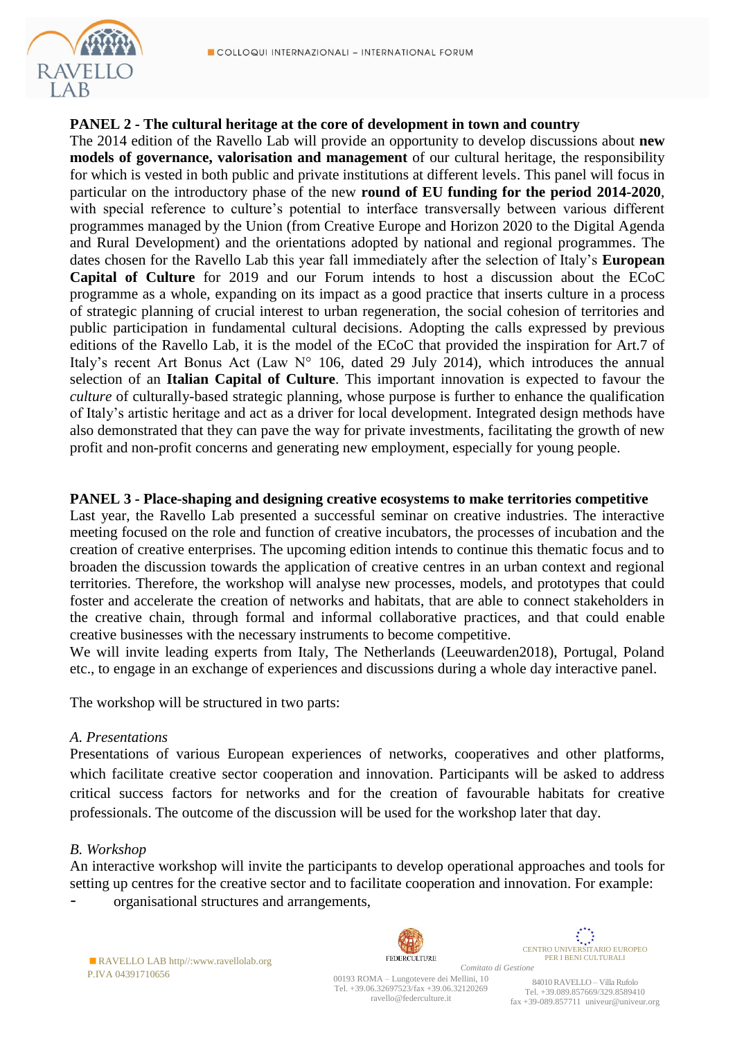

### **PANEL 2 - The cultural heritage at the core of development in town and country**

The 2014 edition of the Ravello Lab will provide an opportunity to develop discussions about **new models of governance, valorisation and management** of our cultural heritage, the responsibility for which is vested in both public and private institutions at different levels. This panel will focus in particular on the introductory phase of the new **round of EU funding for the period 2014-2020**, with special reference to culture's potential to interface transversally between various different programmes managed by the Union (from Creative Europe and Horizon 2020 to the Digital Agenda and Rural Development) and the orientations adopted by national and regional programmes. The dates chosen for the Ravello Lab this year fall immediately after the selection of Italy's **European Capital of Culture** for 2019 and our Forum intends to host a discussion about the ECoC programme as a whole, expanding on its impact as a good practice that inserts culture in a process of strategic planning of crucial interest to urban regeneration, the social cohesion of territories and public participation in fundamental cultural decisions. Adopting the calls expressed by previous editions of the Ravello Lab, it is the model of the ECoC that provided the inspiration for Art.7 of Italy's recent Art Bonus Act (Law  $N^{\circ}$  106, dated 29 July 2014), which introduces the annual selection of an **Italian Capital of Culture**. This important innovation is expected to favour the *culture* of culturally-based strategic planning, whose purpose is further to enhance the qualification of Italy's artistic heritage and act as a driver for local development. Integrated design methods have also demonstrated that they can pave the way for private investments, facilitating the growth of new profit and non-profit concerns and generating new employment, especially for young people.

#### **PANEL 3** *-* **Place-shaping and designing creative ecosystems to make territories competitive**

Last year, the Ravello Lab presented a successful seminar on creative industries. The interactive meeting focused on the role and function of creative incubators, the processes of incubation and the creation of creative enterprises. The upcoming edition intends to continue this thematic focus and to broaden the discussion towards the application of creative centres in an urban context and regional territories. Therefore, the workshop will analyse new processes, models, and prototypes that could foster and accelerate the creation of networks and habitats, that are able to connect stakeholders in the creative chain, through formal and informal collaborative practices, and that could enable creative businesses with the necessary instruments to become competitive.

We will invite leading experts from Italy, The Netherlands (Leeuwarden2018), Portugal, Poland etc., to engage in an exchange of experiences and discussions during a whole day interactive panel.

The workshop will be structured in two parts:

#### *A. Presentations*

Presentations of various European experiences of networks, cooperatives and other platforms, which facilitate creative sector cooperation and innovation. Participants will be asked to address critical success factors for networks and for the creation of favourable habitats for creative professionals. The outcome of the discussion will be used for the workshop later that day.

#### *B. Workshop*

An interactive workshop will invite the participants to develop operational approaches and tools for setting up centres for the creative sector and to facilitate cooperation and innovation. For example:

organisational structures and arrangements,



RAVELLO LAB http//:www.ravellolab.org P.IVA 04391710656

*Comitato di Gestione* 00193 ROMA – Lungotevere dei Mellini, 10 Tel. +39.06.32697523/fax +39.06.32120269 ravello@federculture.it

CENTRO UNIVERSITARIO EUROPEO PER I BENI CULTURALI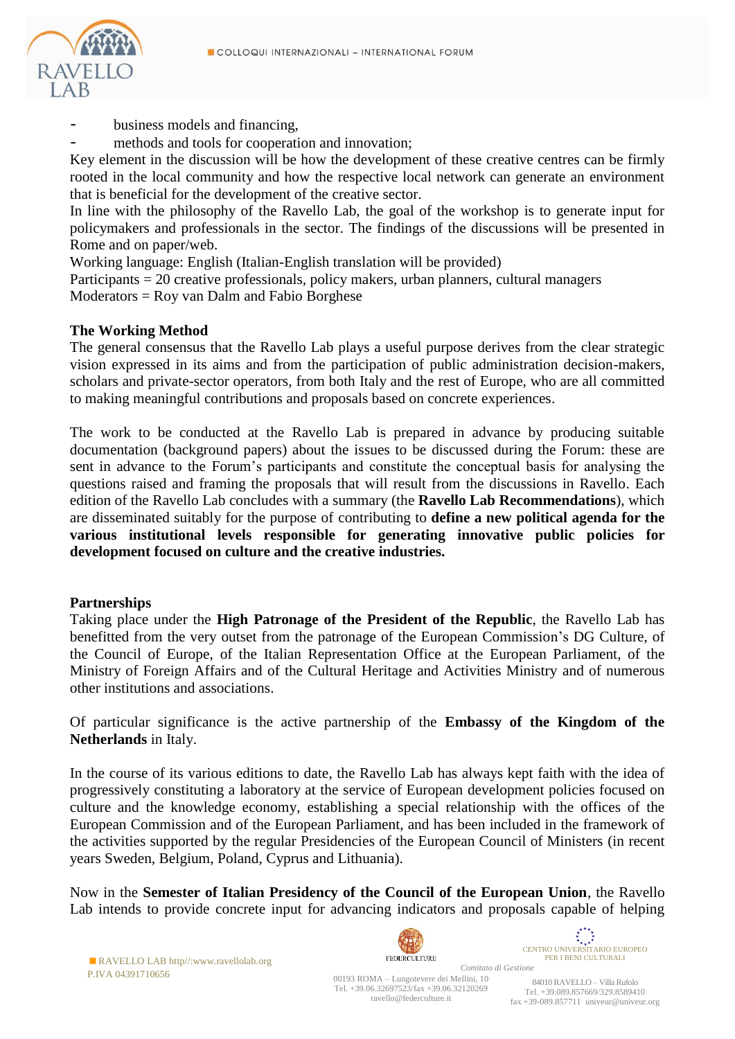

- business models and financing,
- methods and tools for cooperation and innovation;

Key element in the discussion will be how the development of these creative centres can be firmly rooted in the local community and how the respective local network can generate an environment that is beneficial for the development of the creative sector.

In line with the philosophy of the Ravello Lab, the goal of the workshop is to generate input for policymakers and professionals in the sector. The findings of the discussions will be presented in Rome and on paper/web.

Working language: English (Italian-English translation will be provided)

Participants = 20 creative professionals, policy makers, urban planners, cultural managers Moderators = Roy van Dalm and Fabio Borghese

#### **The Working Method**

The general consensus that the Ravello Lab plays a useful purpose derives from the clear strategic vision expressed in its aims and from the participation of public administration decision-makers, scholars and private-sector operators, from both Italy and the rest of Europe, who are all committed to making meaningful contributions and proposals based on concrete experiences.

The work to be conducted at the Ravello Lab is prepared in advance by producing suitable documentation (background papers) about the issues to be discussed during the Forum: these are sent in advance to the Forum's participants and constitute the conceptual basis for analysing the questions raised and framing the proposals that will result from the discussions in Ravello. Each edition of the Ravello Lab concludes with a summary (the **Ravello Lab Recommendations**), which are disseminated suitably for the purpose of contributing to **define a new political agenda for the various institutional levels responsible for generating innovative public policies for development focused on culture and the creative industries.** 

#### **Partnerships**

Taking place under the **High Patronage of the President of the Republic**, the Ravello Lab has benefitted from the very outset from the patronage of the European Commission's DG Culture, of the Council of Europe, of the Italian Representation Office at the European Parliament, of the Ministry of Foreign Affairs and of the Cultural Heritage and Activities Ministry and of numerous other institutions and associations.

Of particular significance is the active partnership of the **Embassy of the Kingdom of the Netherlands** in Italy.

In the course of its various editions to date, the Ravello Lab has always kept faith with the idea of progressively constituting a laboratory at the service of European development policies focused on culture and the knowledge economy, establishing a special relationship with the offices of the European Commission and of the European Parliament, and has been included in the framework of the activities supported by the regular Presidencies of the European Council of Ministers (in recent years Sweden, Belgium, Poland, Cyprus and Lithuania).

Now in the **Semester of Italian Presidency of the Council of the European Union**, the Ravello Lab intends to provide concrete input for advancing indicators and proposals capable of helping



RAVELLO LAB http//:www.ravellolab.org P.IVA 04391710656

00193 ROMA – Lungotevere dei Mellini, 10 Tel. +39.06.32697523/fax +39.06.32120269 ravello@federculture.it

 $\sum_{\mathbf{x}} \sum_{\mathbf{x}} \mathbf{X} \mathbf{X}$ CENTRO UNIVERSITARIO EUROPEO PER I BENI CULTURALI *Comitato di Gestione*